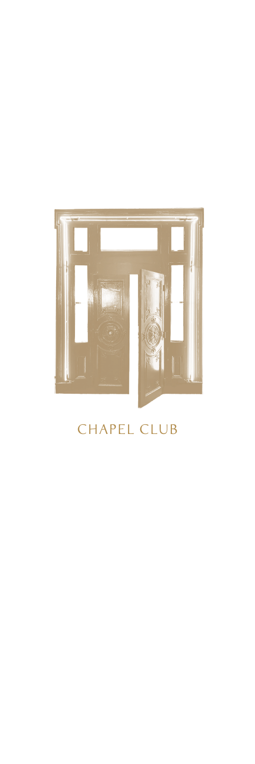

# CHAPEL CLUB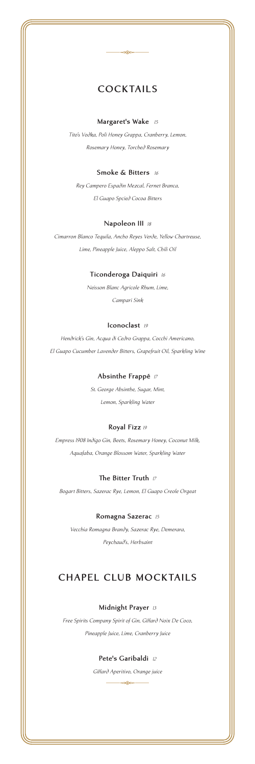# **COCKTAILS**

æ

### **Margaret's Wake** *<sup>15</sup>*

*Tito's Vodka, Poli Honey Grappa, Cranberry, Lemon, Rosemary Honey, Torched Rosemary*

#### **Smoke & Bitters** *<sup>16</sup>*

*Rey Campero Espadin Mezcal, Fernet Branca, El Guapo Spcied Cocoa Bitters*

#### **Napoleon III** *<sup>18</sup>*

*Cimarron Blanco Tequila, Ancho Reyes Verde, Yellow Chartreuse, Lime, Pineapple Juice, Aleppo Salt, Chili Oil*

### **Ticonderoga Daiquiri** *<sup>16</sup>*

*Neisson Blanc Agricole Rhum, Lime, Campari Sink*

### **Iconoclast** *<sup>19</sup>*

*Hendrick's Gin, Acqua di Cedro Grappa, Cocchi Americano, El Guapo Cucumber Lavender Bitters, Grapefruit Oil, Sparkling Wine*

### **Absinthe Frappé** *<sup>17</sup>*

*St. George Absinthe, Sugar, Mint, Lemon, Sparkling Water*

### **Royal Fizz** *<sup>19</sup>*

*Empress 1908 Indigo Gin, Beets, Rosemary Honey, Coconut Milk, Aquafaba, Orange Blossom Water, Sparkling Water*

#### **The Bitter Truth** *<sup>17</sup>*

*Bogart Bitters, Sazerac Rye, Lemon, El Guapo Creole Orgeat*

#### **Romagna Sazerac** *<sup>15</sup>*

*Vecchia Romagna Brandy, Sazerac Rye, Demerara, Peychaud's, Herbsaint*

## **CHAPEL CLUB MOCKTAILS**

### **Midnight Prayer** *<sup>13</sup>*

*Free Spirits Company Spirit of Gin, Giffard Noix De Coco, Pineapple Juice, Lime, Cranberry Juice*

### **Pete's Garibaldi** *<sup>12</sup>*

*Giffard Aperitivo, Orange juice*  $\frac{1}{\sqrt{2\pi}}\frac{1}{\sqrt{2\pi}}\frac{1}{\sqrt{2\pi}}\frac{1}{\sqrt{2\pi}}\frac{1}{\sqrt{2\pi}}\frac{1}{\sqrt{2\pi}}\frac{1}{\sqrt{2\pi}}\frac{1}{\sqrt{2\pi}}\frac{1}{\sqrt{2\pi}}\frac{1}{\sqrt{2\pi}}\frac{1}{\sqrt{2\pi}}\frac{1}{\sqrt{2\pi}}\frac{1}{\sqrt{2\pi}}\frac{1}{\sqrt{2\pi}}\frac{1}{\sqrt{2\pi}}\frac{1}{\sqrt{2\pi}}\frac{1}{\sqrt{2\pi}}\frac{1}{\sqrt{2\pi}}\frac{1$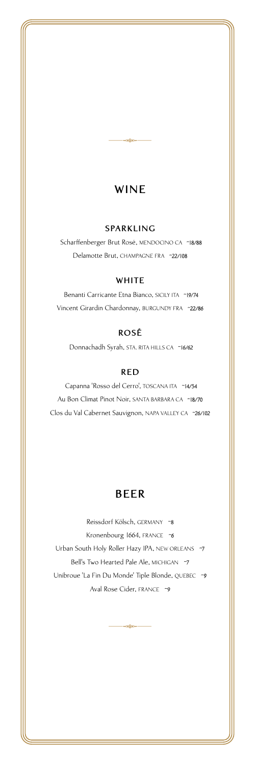# **WINE**

 $\frac{1}{\sqrt{2\pi}}\frac{1}{\sqrt{2\pi}}\frac{1}{\sqrt{2\pi}}\frac{1}{\sqrt{2\pi}}\frac{1}{\sqrt{2\pi}}\frac{1}{\sqrt{2\pi}}\frac{1}{\sqrt{2\pi}}\frac{1}{\sqrt{2\pi}}\frac{1}{\sqrt{2\pi}}\frac{1}{\sqrt{2\pi}}\frac{1}{\sqrt{2\pi}}\frac{1}{\sqrt{2\pi}}\frac{1}{\sqrt{2\pi}}\frac{1}{\sqrt{2\pi}}\frac{1}{\sqrt{2\pi}}\frac{1}{\sqrt{2\pi}}\frac{1}{\sqrt{2\pi}}\frac{1}{\sqrt{2\pi}}\frac{1$ 

### **SPARKLING**

Scharffenberger Brut Rosé, MENDOCINO CA ~18/88 Delamotte Brut, CHAMPAGNE FRA ~22/108

### **WHITE**

Benanti Carricante Etna Bianco, SICILY ITA ~19/74 Vincent Girardin Chardonnay, BURGUNDY FRA ~22/86

### **ROSÉ**

Donnachadh Syrah, STA. RITA HILLS CA ~16/62

### **RED**

Capanna 'Rosso del Cerro', TOSCANA ITA ~14/54 Au Bon Climat Pinot Noir, SANTA BARBARA CA ~18/70 Clos du Val Cabernet Sauvignon, NAPA VALLEY CA ~26/102

# **BEER**

Reissdorf Kölsch, GERMANY ~8 Kronenbourg 1664, FRANCE ~6 Urban South Holy Roller Hazy IPA, NEW ORLEANS ~7 Bell's Two Hearted Pale Ale, MICHIGAN ~7 Unibroue 'La Fin Du Monde' Tiple Blonde, QUEBEC ~9 Aval Rose Cider, FRANCE ~9

යැහු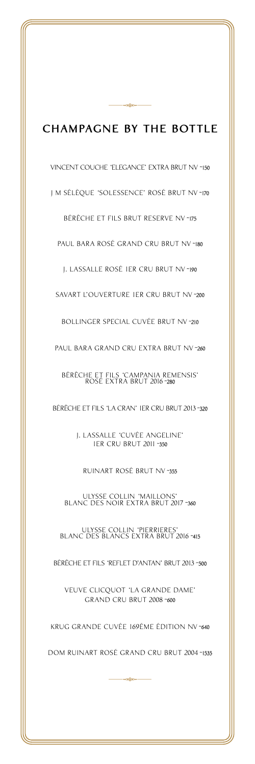# **CHAMPAGNE BY THE BOTTLE**

 $-$ -38

VINCENT COUCHE 'ELEGANCE' EXTRA BRUT NV ~150 J M SÉLÈQUE 'SOLESSENCE' ROSÉ BRUT NV ~170 BÉRÊCHE ET FILS BRUT RESERVE NV ~175 PAUL BARA ROSÉ GRAND CRU BRUT NV ~180 J. LASSALLE ROSÉ 1ER CRU BRUT NV ~190 SAVART L'OUVERTURE 1ER CRU BRUT NV ~200 BOLLINGER SPECIAL CUVÉE BRUT NV ~210 PAUL BARA GRAND CRU EXTRA BRUT NV~260 BÉRÊCHE ET FILS 'CAMPANIA REMENSIS' ROSÉ EXTRA BRUT 2016 ~280 BÉRÊCHE ET FILS 'LA CRAN' 1ER CRU BRUT 2013 ~320 J. LASSALLE 'CUVÉE ANGELINE' 1ER CRU BRUT 2011 ~350 RUINART ROSÉ BRUT NV ~355 ULYSSE COLLIN 'MAILLONS' BLANC DES NOIR EXTRA BRUT 2017 ~360 ULYSSE COLLIN 'PIERRIERES' BLANC DES BLANCS EXTRA BRUT 2016 ~415 BÉRÊCHE ET FILS 'REFLET D'ANTAN' BRUT 2013 ~500 VEUVE CLICQUOT 'LA GRANDE DAME' GRAND CRU BRUT 2008 ~600 KRUG GRANDE CUVÉE 169ÉME ÉDITION NV ~640 DOM RUINART ROSÉ GRAND CRU BRUT 2004 ~1535  $\frac{1}{\sqrt{2\pi}}\frac{1}{\sqrt{2\pi}}\frac{1}{\sqrt{2\pi}}\frac{1}{\sqrt{2\pi}}\frac{1}{\sqrt{2\pi}}\frac{1}{\sqrt{2\pi}}\frac{1}{\sqrt{2\pi}}\frac{1}{\sqrt{2\pi}}\frac{1}{\sqrt{2\pi}}\frac{1}{\sqrt{2\pi}}\frac{1}{\sqrt{2\pi}}\frac{1}{\sqrt{2\pi}}\frac{1}{\sqrt{2\pi}}\frac{1}{\sqrt{2\pi}}\frac{1}{\sqrt{2\pi}}\frac{1}{\sqrt{2\pi}}\frac{1}{\sqrt{2\pi}}\frac{1}{\sqrt{2\pi}}\frac{1$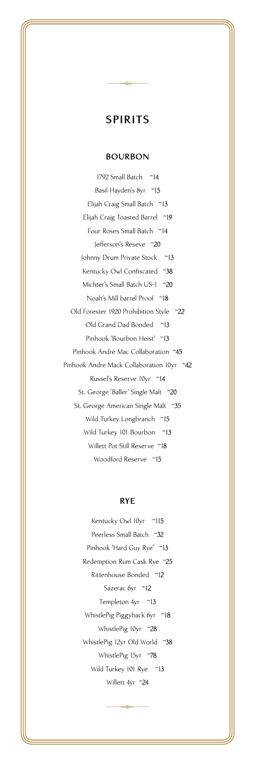$\frac{1}{\sqrt{2\pi}}\frac{1}{\sqrt{2\pi}}\frac{1}{\sqrt{2\pi}}\frac{1}{\sqrt{2\pi}}\frac{1}{\sqrt{2\pi}}\frac{1}{\sqrt{2\pi}}\frac{1}{\sqrt{2\pi}}\frac{1}{\sqrt{2\pi}}\frac{1}{\sqrt{2\pi}}\frac{1}{\sqrt{2\pi}}\frac{1}{\sqrt{2\pi}}\frac{1}{\sqrt{2\pi}}\frac{1}{\sqrt{2\pi}}\frac{1}{\sqrt{2\pi}}\frac{1}{\sqrt{2\pi}}\frac{1}{\sqrt{2\pi}}\frac{1}{\sqrt{2\pi}}\frac{1}{\sqrt{2\pi}}\frac{1$ 

### **BOURBON**

1792 Small Batch ~14 Basil Hayden's 8yr ~15 Elijah Craig Small Batch ~13 Elijah Craig Toasted Barrel ~19 Four Roses Small Batch ~14 Jefferson's Reseve ~20 Johnny Drum Private Stock ~13 Kentucky Owl Confiscated ~38 Michter's Small Batch US-1 ~20 Noah's Mill barrel Proof ~18 Old Forester 1920 Prohibition Style ~22 Old Grand Dad Bonded ~13 Pinhook 'Bourbon Heist' ~13 Pinhook Andre Mac Collaboration ~45 Pinhook Andre Mack Collaboration 10yr ~42 Russel's Reserve 10yr ~14 St. George 'Baller' Single Malt ~20 St. George American Single Malt ~35 Wild Turkey Longbranch ~15 Wild Turkey 101 Bourbon ~13 Willett Pot Still Reserve ~18 Woodford Reserve ~15

### **RYE**

Kentucky Owl 10yr ~115 Peerless Small Batch ~32 Pinhook 'Hard Guy Rye' ~13 Redemption Rum Cask Rye ~25 Rittenhouse Bonded ~12 Sazerac 6yr ~12 Templeton 4yr ~13 WhistlePig Piggyback 6yr ~18 WhistlePig 10yr ~28 WhistlePig 12yr Old World ~38 WhistlePig 15yr ~78 Wild Turkey 101 Rye ~13 Willett 4yr 24

.<br>පැහිඳ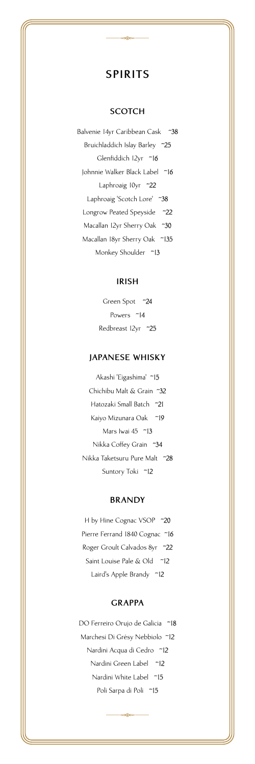$\frac{1}{\sqrt{2\pi}}\frac{1}{\sqrt{2\pi}}\frac{1}{\sqrt{2\pi}}\frac{1}{\sqrt{2\pi}}\frac{1}{\sqrt{2\pi}}\frac{1}{\sqrt{2\pi}}\frac{1}{\sqrt{2\pi}}\frac{1}{\sqrt{2\pi}}\frac{1}{\sqrt{2\pi}}\frac{1}{\sqrt{2\pi}}\frac{1}{\sqrt{2\pi}}\frac{1}{\sqrt{2\pi}}\frac{1}{\sqrt{2\pi}}\frac{1}{\sqrt{2\pi}}\frac{1}{\sqrt{2\pi}}\frac{1}{\sqrt{2\pi}}\frac{1}{\sqrt{2\pi}}\frac{1}{\sqrt{2\pi}}\frac{1$ 

### **SCOTCH**

Balvenie 14yr Caribbean Cask ~38 Bruichladdich Islay Barley ~25 Glenfiddich 12yr ~16 Johnnie Walker Black Label ~16 Laphroaig 10yr ~22 Laphroaig 'Scotch Lore' ~38 Longrow Peated Speyside ~22 Macallan 12yr Sherry Oak ~30 Macallan 18yr Sherry Oak ~135 Monkey Shoulder ~13

### **IRISH**

Green Spot ~24 Powers ~14 Redbreast 12yr ~25

### **JAPANESE WHISKY**

Akashi 'Eigashima' ~15 Chichibu Malt & Grain ~32 Hatozaki Small Batch ~21 Kaiyo Mizunara Oak ~19 Mars Iwai 45 ~13 Nikka Coffey Grain ~34 Nikka Taketsuru Pure Malt ~28 Suntory Toki ~12

### **BRANDY**

H by Hine Cognac VSOP ~20 Pierre Ferrand 1840 Cognac ~16 Roger Groult Calvados 8yr ~22 Saint Louise Pale & Old ~12 Laird's Apple Brandy ~12

### **GRAPPA**

DO Ferreiro Orujo de Galicia ~18 Marchesi Di Grésy Nebbiolo Nardini Acqua di Cedro ~12 Nardini Green Label ~12 Nardini White Label ~15 Poli Sarpa di Poli ~15

 $\frac{1}{\sqrt{2\pi}}\frac{1}{\sqrt{2\pi}}\frac{1}{\sqrt{2\pi}}\frac{1}{\sqrt{2\pi}}\frac{1}{\sqrt{2\pi}}\frac{1}{\sqrt{2\pi}}\frac{1}{\sqrt{2\pi}}\frac{1}{\sqrt{2\pi}}\frac{1}{\sqrt{2\pi}}\frac{1}{\sqrt{2\pi}}\frac{1}{\sqrt{2\pi}}\frac{1}{\sqrt{2\pi}}\frac{1}{\sqrt{2\pi}}\frac{1}{\sqrt{2\pi}}\frac{1}{\sqrt{2\pi}}\frac{1}{\sqrt{2\pi}}\frac{1}{\sqrt{2\pi}}\frac{1}{\sqrt{2\pi}}\frac{1$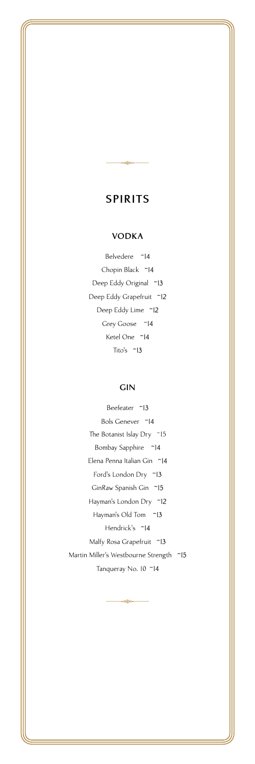$\frac{1}{\sqrt{2\pi}}\frac{1}{\sqrt{2\pi}}\frac{1}{\sqrt{2\pi}}\frac{1}{\sqrt{2\pi}}\frac{1}{\sqrt{2\pi}}\frac{1}{\sqrt{2\pi}}\frac{1}{\sqrt{2\pi}}\frac{1}{\sqrt{2\pi}}\frac{1}{\sqrt{2\pi}}\frac{1}{\sqrt{2\pi}}\frac{1}{\sqrt{2\pi}}\frac{1}{\sqrt{2\pi}}\frac{1}{\sqrt{2\pi}}\frac{1}{\sqrt{2\pi}}\frac{1}{\sqrt{2\pi}}\frac{1}{\sqrt{2\pi}}\frac{1}{\sqrt{2\pi}}\frac{1}{\sqrt{2\pi}}\frac{1$ 

### **VODKA**

Belvedere ~14 Chopin Black ~14 Deep Eddy Original ~13 Deep Eddy Grapefruit ~12 Deep Eddy Lime ~12 Grey Goose ~14 Ketel One ~14 Tito's ~13

### **GIN**

Beefeater ~13 Bols Genever ~14 The Botanist Islay Dry ~15 Bombay Sapphire ~14 Elena Penna Italian Gin ~14 Ford's London Dry ~13 GinRaw Spanish Gin ~15 Hayman's London Dry ~12 Hayman's Old Tom ~13 Hendrick's ~14 Malfy Rosa Grapefruit ~13 Martin Miller's Westbourne Strength ~15 Tanqueray No. 10 ~14

 $\frac{1}{\sqrt{2\pi}}\frac{1}{\sqrt{2\pi}}\frac{1}{\sqrt{2\pi}}\frac{1}{\sqrt{2\pi}}\frac{1}{\sqrt{2\pi}}\frac{1}{\sqrt{2\pi}}\frac{1}{\sqrt{2\pi}}\frac{1}{\sqrt{2\pi}}\frac{1}{\sqrt{2\pi}}\frac{1}{\sqrt{2\pi}}\frac{1}{\sqrt{2\pi}}\frac{1}{\sqrt{2\pi}}\frac{1}{\sqrt{2\pi}}\frac{1}{\sqrt{2\pi}}\frac{1}{\sqrt{2\pi}}\frac{1}{\sqrt{2\pi}}\frac{1}{\sqrt{2\pi}}\frac{1}{\sqrt{2\pi}}\frac{1$